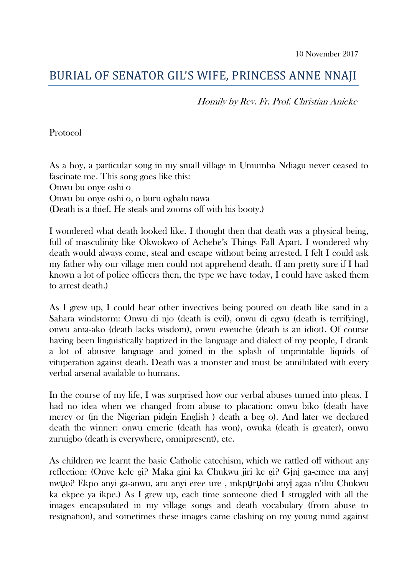## BURIAL OF SENATOR GIL'S WIFE, PRINCESS ANNE NNAJI

Homily by Rev. Fr. Prof. Christian Anieke

Protocol

As a boy, a particular song in my small village in Umumba Ndiagu never ceased to fascinate me. This song goes like this: Onwu bu onye oshi o Onwu bu onye oshi o, o buru ogbalu nawa (Death is a thief. He steals and zooms off with his booty.)

I wondered what death looked like. I thought then that death was a physical being, full of masculinity like Okwokwo of Achebe's Things Fall Apart. I wondered why death would always come, steal and escape without being arrested. I felt I could ask my father why our village men could not apprehend death. (I am pretty sure if I had known a lot of police officers then, the type we have today, I could have asked them to arrest death.)

As I grew up, I could hear other invectives being poured on death like sand in a Sahara windstorm: Onwu di njo (death is evil), onwu di egwu (death is terrifying), onwu ama-ako (death lacks wisdom), onwu eweuche (death is an idiot). Of course having been linguistically baptized in the language and dialect of my people, I drank a lot of abusive language and joined in the splash of unprintable liquids of vituperation against death. Death was a monster and must be annihilated with every verbal arsenal available to humans.

In the course of my life, I was surprised how our verbal abuses turned into pleas. I had no idea when we changed from abuse to placation: onwu biko (death have mercy or (in the Nigerian pidgin English ) death a beg o). And later we declared death the winner: onwu emerie (death has won), owuka (death is greater), onwu zuruigbo (death is everywhere, omnipresent), etc.

As children we learnt the basic Catholic catechism, which we rattled off without any reflection: (Onye kele gi? Maka gini ka Chukwu jiri ke gi? Gịnị ga-emee ma anyị nwụo? Ekpo anyi ga-anwu, aru anyi eree ure , mkpụrụobi anyị agaa n'ihu Chukwu ka ekpee ya ikpe.) As I grew up, each time someone died I struggled with all the images encapsulated in my village songs and death vocabulary (from abuse to resignation), and sometimes these images came clashing on my young mind against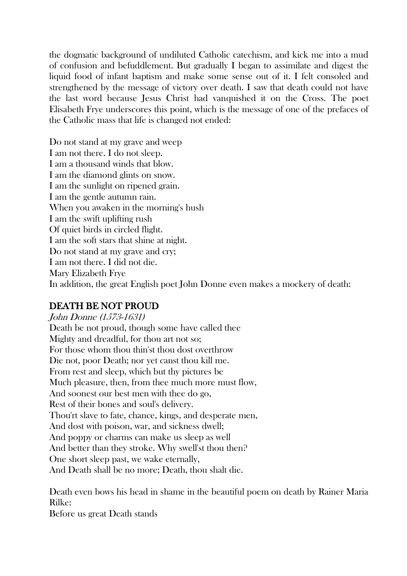the dogmatic background of undiluted Catholic catechism, and kick me into a mud of confusion and befuddlement. But gradually I began to assimilate and digest the liquid food of infant baptism and make some sense out of it. I felt consoled and strengthened by the message of victory over death. I saw that death could not have the last word because Jesus Christ had vanquished it on the Cross. The poet Elisabeth Frye underscores this point, which is the message of one of the prefaces of the Catholic mass that life is changed not ended:

Do not stand at my grave and weep I am not there. I do not sleep. I am a thousand winds that blow. I am the diamond glints on snow. I am the sunlight on ripened grain. I am the gentle autumn rain. When you awaken in the morning's hush I am the swift uplifting rush Of quiet birds in circled flight. I am the soft stars that shine at night. Do not stand at my grave and cry; I am not there. I did not die. Mary Elizabeth Frye In addition, the great English poet John Donne even makes a mockery of death:

## DEATH BE NOT PROUD

John Donne (1573-1631) Death be not proud, though some have called thee Mighty and dreadful, for thou art not so; For those whom thou thin'st thou dost overthrow Die not, poor Death; nor yet canst thou kill me. From rest and sleep, which but thy pictures be Much pleasure, then, from thee much more must flow, And soonest our best men with thee do go, Rest of their bones and soul's delivery. Thou'rt slave to fate, chance, kings, and desperate men, And dost with poison, war, and sickness dwell; And poppy or charms can make us sleep as well And better than they stroke. Why swell'st thou then? One short sleep past, we wake eternally, And Death shall be no more; Death, thou shalt die.

Death even bows his head in shame in the beautiful poem on death by Rainer Maria Rilke:

Before us great Death stands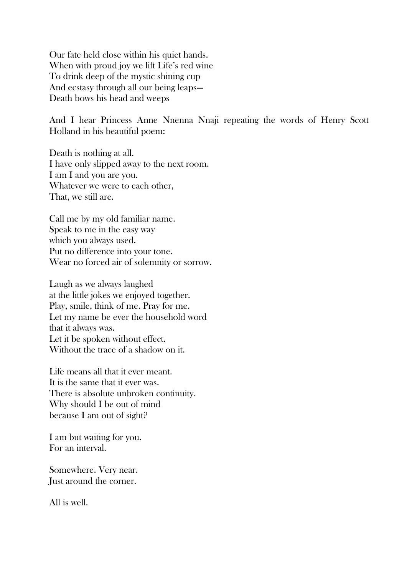Our fate held close within his quiet hands. When with proud joy we lift Life's red wine To drink deep of the mystic shining cup And ecstasy through all our being leaps— Death bows his head and weeps

And I hear Princess Anne Nnenna Nnaji repeating the words of Henry Scott Holland in his beautiful poem:

Death is nothing at all. I have only slipped away to the next room. I am I and you are you. Whatever we were to each other, That, we still are.

Call me by my old familiar name. Speak to me in the easy way which you always used. Put no difference into your tone. Wear no forced air of solemnity or sorrow.

Laugh as we always laughed at the little jokes we enjoyed together. Play, smile, think of me. Pray for me. Let my name be ever the household word that it always was. Let it be spoken without effect. Without the trace of a shadow on it.

Life means all that it ever meant. It is the same that it ever was. There is absolute unbroken continuity. Why should I be out of mind because I am out of sight?

I am but waiting for you. For an interval.

Somewhere. Very near. Just around the corner.

All is well.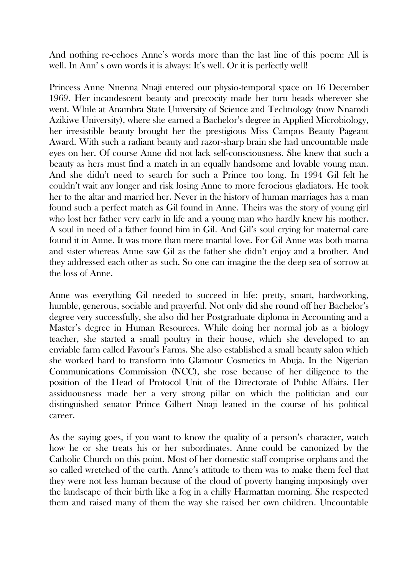And nothing re-echoes Anne's words more than the last line of this poem: All is well. In Ann's own words it is always: It's well. Or it is perfectly well!

Princess Anne Nnenna Nnaji entered our physio-temporal space on 16 December 1969. Her incandescent beauty and precocity made her turn heads wherever she went. While at Anambra State University of Science and Technology (now Nnamdi Azikiwe University), where she earned a Bachelor's degree in Applied Microbiology, her irresistible beauty brought her the prestigious Miss Campus Beauty Pageant Award. With such a radiant beauty and razor-sharp brain she had uncountable male eyes on her. Of course Anne did not lack self-consciousness. She knew that such a beauty as hers must find a match in an equally handsome and lovable young man. And she didn't need to search for such a Prince too long. In 1994 Gil felt he couldn't wait any longer and risk losing Anne to more ferocious gladiators. He took her to the altar and married her. Never in the history of human marriages has a man found such a perfect match as Gil found in Anne. Theirs was the story of young girl who lost her father very early in life and a young man who hardly knew his mother. A soul in need of a father found him in Gil. And Gil's soul crying for maternal care found it in Anne. It was more than mere marital love. For Gil Anne was both mama and sister whereas Anne saw Gil as the father she didn't enjoy and a brother. And they addressed each other as such. So one can imagine the the deep sea of sorrow at the loss of Anne.

Anne was everything Gil needed to succeed in life: pretty, smart, hardworking, humble, generous, sociable and prayerful. Not only did she round off her Bachelor's degree very successfully, she also did her Postgraduate diploma in Accounting and a Master's degree in Human Resources. While doing her normal job as a biology teacher, she started a small poultry in their house, which she developed to an enviable farm called Favour's Farms. She also established a small beauty salon which she worked hard to transform into Glamour Cosmetics in Abuja. In the Nigerian Communications Commission (NCC), she rose because of her diligence to the position of the Head of Protocol Unit of the Directorate of Public Affairs. Her assiduousness made her a very strong pillar on which the politician and our distinguished senator Prince Gilbert Nnaji leaned in the course of his political career.

As the saying goes, if you want to know the quality of a person's character, watch how he or she treats his or her subordinates. Anne could be canonized by the Catholic Church on this point. Most of her domestic staff comprise orphans and the so called wretched of the earth. Anne's attitude to them was to make them feel that they were not less human because of the cloud of poverty hanging imposingly over the landscape of their birth like a fog in a chilly Harmattan morning. She respected them and raised many of them the way she raised her own children. Uncountable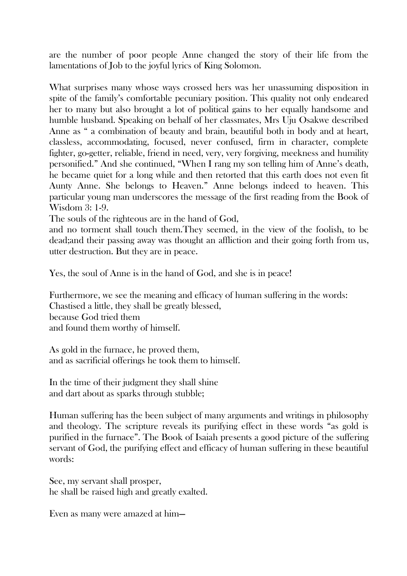are the number of poor people Anne changed the story of their life from the lamentations of Job to the joyful lyrics of King Solomon.

What surprises many whose ways crossed hers was her unassuming disposition in spite of the family's comfortable pecuniary position. This quality not only endeared her to many but also brought a lot of political gains to her equally handsome and humble husband. Speaking on behalf of her classmates, Mrs Uju Osakwe described Anne as " a combination of beauty and brain, beautiful both in body and at heart, classless, accommodating, focused, never confused, firm in character, complete fighter, go-getter, reliable, friend in need, very, very forgiving, meekness and humility personified." And she continued, "When I rang my son telling him of Anne's death, he became quiet for a long while and then retorted that this earth does not even fit Aunty Anne. She belongs to Heaven." Anne belongs indeed to heaven. This particular young man underscores the message of the first reading from the Book of Wisdom 3: 1-9.

The souls of the righteous are in the hand of God,

and no torment shall touch them.They seemed, in the view of the foolish, to be dead;and their passing away was thought an affliction and their going forth from us, utter destruction. But they are in peace.

Yes, the soul of Anne is in the hand of God, and she is in peace!

Furthermore, we see the meaning and efficacy of human suffering in the words: Chastised a little, they shall be greatly blessed, because God tried them and found them worthy of himself.

As gold in the furnace, he proved them, and as sacrificial offerings he took them to himself.

In the time of their judgment they shall shine and dart about as sparks through stubble;

Human suffering has the been subject of many arguments and writings in philosophy and theology. The scripture reveals its purifying effect in these words "as gold is purified in the furnace". The Book of Isaiah presents a good picture of the suffering servant of God, the purifying effect and efficacy of human suffering in these beautiful words:

See, my servant shall prosper, he shall be raised high and greatly exalted.

Even as many were amazed at him—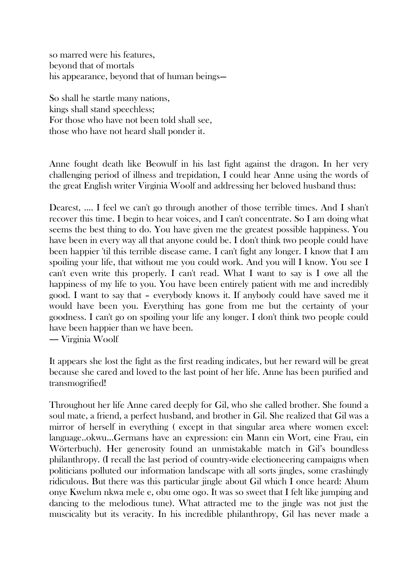so marred were his features, beyond that of mortals his appearance, beyond that of human beings—

So shall he startle many nations, kings shall stand speechless; For those who have not been told shall see, those who have not heard shall ponder it.

Anne fought death like Beowulf in his last fight against the dragon. In her very challenging period of illness and trepidation, I could hear Anne using the words of the great English writer Virginia Woolf and addressing her beloved husband thus:

Dearest, .... I feel we can't go through another of those terrible times. And I shan't recover this time. I begin to hear voices, and I can't concentrate. So I am doing what seems the best thing to do. You have given me the greatest possible happiness. You have been in every way all that anyone could be. I don't think two people could have been happier 'til this terrible disease came. I can't fight any longer. I know that I am spoiling your life, that without me you could work. And you will I know. You see I can't even write this properly. I can't read. What I want to say is I owe all the happiness of my life to you. You have been entirely patient with me and incredibly good. I want to say that – everybody knows it. If anybody could have saved me it would have been you. Everything has gone from me but the certainty of your goodness. I can't go on spoiling your life any longer. I don't think two people could have been happier than we have been.

― Virginia Woolf

It appears she lost the fight as the first reading indicates, but her reward will be great because she cared and loved to the last point of her life. Anne has been purified and transmogrified!

Throughout her life Anne cared deeply for Gil, who she called brother. She found a soul mate, a friend, a perfect husband, and brother in Gil. She realized that Gil was a mirror of herself in everything ( except in that singular area where women excel: language..okwu...Germans have an expression: ein Mann ein Wort, eine Frau, ein Wörterbuch). Her generosity found an unmistakable match in Gil's boundless philanthropy. (I recall the last period of country-wide electioneering campaigns when politicians polluted our information landscape with all sorts jingles, some crashingly ridiculous. But there was this particular jingle about Gil which I once heard: Ahum onye Kwelum nkwa mele e, obu ome ogo. It was so sweet that I felt like jumping and dancing to the melodious tune). What attracted me to the jingle was not just the muscicality but its veracity. In his incredible philanthropy, Gil has never made a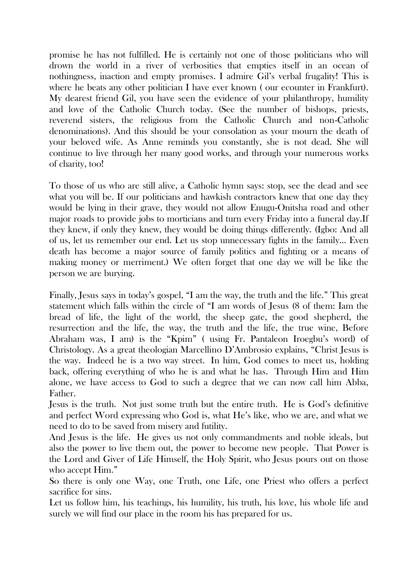promise he has not fulfilled. He is certainly not one of those politicians who will drown the world in a river of verbosities that empties itself in an ocean of nothingness, inaction and empty promises. I admire Gil's verbal frugality! This is where he beats any other politician I have ever known ( our ecounter in Frankfurt). My dearest friend Gil, you have seen the evidence of your philanthropy, humility and love of the Catholic Church today. (See the number of bishops, priests, reverend sisters, the religious from the Catholic Church and non-Catholic denominations). And this should be your consolation as your mourn the death of your beloved wife. As Anne reminds you constantly, she is not dead. She will continue to live through her many good works, and through your numerous works of charity, too!

To those of us who are still alive, a Catholic hymn says: stop, see the dead and see what you will be. If our politicians and hawkish contractors knew that one day they would be lying in their grave, they would not allow Enugu-Onitsha road and other major roads to provide jobs to morticians and turn every Friday into a funeral day.If they knew, if only they knew, they would be doing things differently. (Igbo: And all of us, let us remember our end. Let us stop unnecessary fights in the family... Even death has become a major source of family politics and fighting or a means of making money or merriment.) We often forget that one day we will be like the person we are burying.

Finally, Jesus says in today's gospel, "I am the way, the truth and the life." This great statement which falls within the circle of "I am words of Jesus (8 of them: Iam the bread of life, the light of the world, the sheep gate, the good shepherd, the resurrection and the life, the way, the truth and the life, the true wine, Before Abraham was, I am) is the "Kpim" ( using Fr. Pantaleon Iroegbu's word) of Christology. As a great theologian Marcellino D'Ambrosio explains, "Christ Jesus is the way. Indeed he is a two way street. In him, God comes to meet us, holding back, offering everything of who he is and what he has. Through Him and Him alone, we have access to God to such a degree that we can now call him Abba, Father.

Jesus is the truth. Not just some truth but the entire truth. He is God's definitive and perfect Word expressing who God is, what He's like, who we are, and what we need to do to be saved from misery and futility.

And Jesus is the life. He gives us not only commandments and noble ideals, but also the power to live them out, the power to become new people. That Power is the Lord and Giver of Life Himself, the Holy Spirit, who Jesus pours out on those who accept Him."

So there is only one Way, one Truth, one Life, one Priest who offers a perfect sacrifice for sins.

Let us follow him, his teachings, his humility, his truth, his love, his whole life and surely we will find our place in the room his has prepared for us.